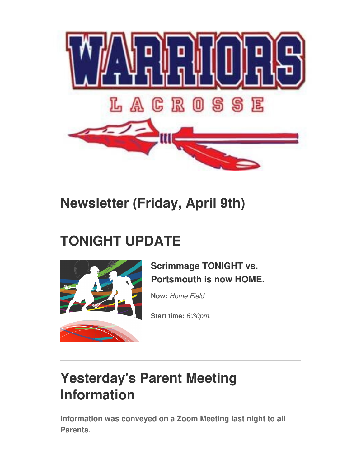

### **Newsletter (Friday, April 9th)**

## **TONIGHT UPDATE**



### **Scrimmage TONIGHT vs. Portsmouth is now HOME.**

**Now:** *Home Field*

**Start time:** *6:30pm.*

# **Yesterday's Parent Meeting Information**

**Information was conveyed on a Zoom Meeting last night to all Parents.**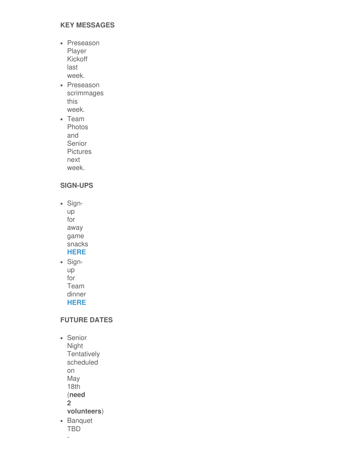#### **KEY MESSAGES**

- Preseason Player Kickoff last week.
- Preseason scrimmages this week.
- Team Photos and Senior Pictures next week.

#### **SIGN-UPS**

- Signup for away game snacks **[HERE](https://whslacrosse.org/away-game-sign-up)** ▪ Sign-
- up for Team dinner **[HERE](https://whslacrosse.org/team-dinner-sign-up)**

#### **FUTURE DATES**

- Senior Night **Tentatively** scheduled on May 18th (**need 2 volunteers**) ▪ Banquet
	- TBD

-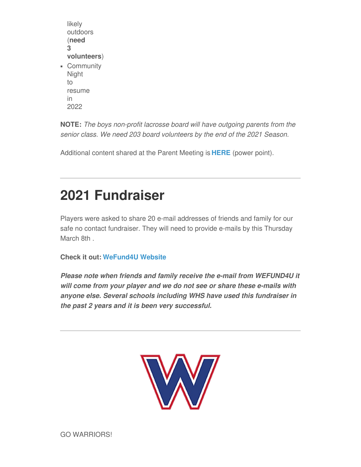```
likely
  outdoors
  (need
  3
  volunteers)
• Community
 Night
 to
 resume
 in
 2022
```
**NOTE:** *The boys non-profit lacrosse board will have outgoing parents from the senior class. We need 203 board volunteers by the end of the 2021 Season.*

Additional content shared at the Parent Meeting is **[HERE](https://whslacrosse.org/newsletters)** (power point).

### **2021 Fundraiser**

Players were asked to share 20 e-mail addresses of friends and family for our safe no contact fundraiser. They will need to provide e-mails by this Thursday March 8th .

#### **Check it out: [WeFund4U](https://wefund4u.com/fundraiser/winn21/c/106522) Website**

*Please note when friends and family receive the e-mail from WEFUND4U it will come from your player and we do not see or share these e-mails with anyone else. Several schools including WHS have used this fundraiser in the past 2 years and it is been very successful.*